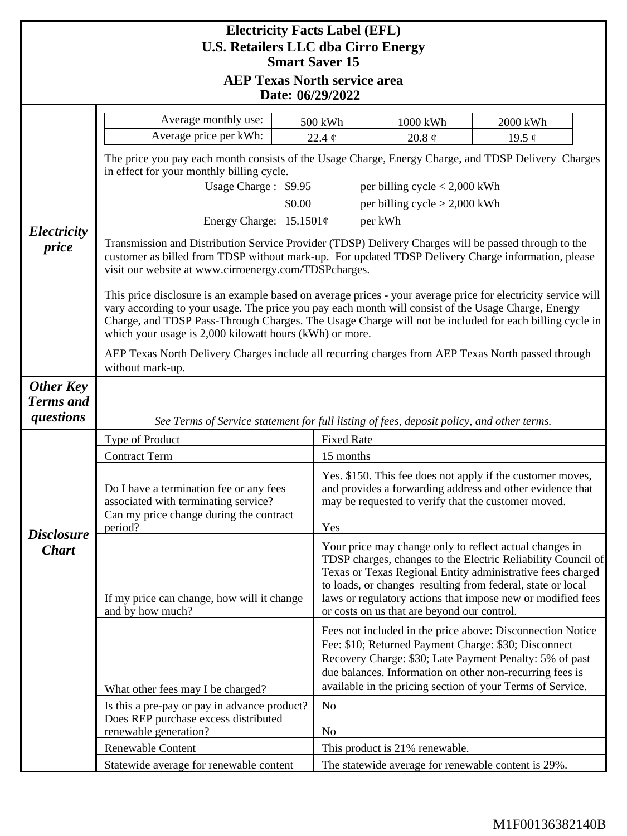| <b>Electricity Facts Label (EFL)</b>                                |                                                                                                                                                                                                                                                                                                                                                                                           |                                                                                                    |                                                                                                                                                                                                                                                                                                                                                                    |             |  |
|---------------------------------------------------------------------|-------------------------------------------------------------------------------------------------------------------------------------------------------------------------------------------------------------------------------------------------------------------------------------------------------------------------------------------------------------------------------------------|----------------------------------------------------------------------------------------------------|--------------------------------------------------------------------------------------------------------------------------------------------------------------------------------------------------------------------------------------------------------------------------------------------------------------------------------------------------------------------|-------------|--|
| <b>U.S. Retailers LLC dba Cirro Energy</b><br><b>Smart Saver 15</b> |                                                                                                                                                                                                                                                                                                                                                                                           |                                                                                                    |                                                                                                                                                                                                                                                                                                                                                                    |             |  |
| <b>AEP Texas North service area</b>                                 |                                                                                                                                                                                                                                                                                                                                                                                           |                                                                                                    |                                                                                                                                                                                                                                                                                                                                                                    |             |  |
| Date: 06/29/2022                                                    |                                                                                                                                                                                                                                                                                                                                                                                           |                                                                                                    |                                                                                                                                                                                                                                                                                                                                                                    |             |  |
|                                                                     | Average monthly use:                                                                                                                                                                                                                                                                                                                                                                      | 500 kWh                                                                                            | 1000 kWh                                                                                                                                                                                                                                                                                                                                                           | 2000 kWh    |  |
|                                                                     | Average price per kWh:                                                                                                                                                                                                                                                                                                                                                                    | 22.4 $\phi$                                                                                        | 20.8 $\phi$                                                                                                                                                                                                                                                                                                                                                        | 19.5 $\phi$ |  |
|                                                                     | The price you pay each month consists of the Usage Charge, Energy Charge, and TDSP Delivery Charges<br>in effect for your monthly billing cycle.                                                                                                                                                                                                                                          |                                                                                                    |                                                                                                                                                                                                                                                                                                                                                                    |             |  |
|                                                                     | Usage Charge: \$9.95<br>per billing cycle $< 2,000$ kWh                                                                                                                                                                                                                                                                                                                                   |                                                                                                    |                                                                                                                                                                                                                                                                                                                                                                    |             |  |
| Electricity                                                         | per billing cycle $\geq 2,000$ kWh<br>\$0.00                                                                                                                                                                                                                                                                                                                                              |                                                                                                    |                                                                                                                                                                                                                                                                                                                                                                    |             |  |
|                                                                     | Energy Charge: $15.1501¢$<br>per kWh                                                                                                                                                                                                                                                                                                                                                      |                                                                                                    |                                                                                                                                                                                                                                                                                                                                                                    |             |  |
| price                                                               | Transmission and Distribution Service Provider (TDSP) Delivery Charges will be passed through to the<br>customer as billed from TDSP without mark-up. For updated TDSP Delivery Charge information, please<br>visit our website at www.cirroenergy.com/TDSPcharges.                                                                                                                       |                                                                                                    |                                                                                                                                                                                                                                                                                                                                                                    |             |  |
|                                                                     | This price disclosure is an example based on average prices - your average price for electricity service will<br>vary according to your usage. The price you pay each month will consist of the Usage Charge, Energy<br>Charge, and TDSP Pass-Through Charges. The Usage Charge will not be included for each billing cycle in<br>which your usage is 2,000 kilowatt hours (kWh) or more. |                                                                                                    |                                                                                                                                                                                                                                                                                                                                                                    |             |  |
|                                                                     | without mark-up.                                                                                                                                                                                                                                                                                                                                                                          | AEP Texas North Delivery Charges include all recurring charges from AEP Texas North passed through |                                                                                                                                                                                                                                                                                                                                                                    |             |  |
| <b>Other Key</b><br><b>Terms</b> and<br>questions                   | See Terms of Service statement for full listing of fees, deposit policy, and other terms.                                                                                                                                                                                                                                                                                                 |                                                                                                    |                                                                                                                                                                                                                                                                                                                                                                    |             |  |
| <b>Disclosure</b><br><b>Chart</b>                                   | Type of Product                                                                                                                                                                                                                                                                                                                                                                           |                                                                                                    | <b>Fixed Rate</b>                                                                                                                                                                                                                                                                                                                                                  |             |  |
|                                                                     | <b>Contract Term</b>                                                                                                                                                                                                                                                                                                                                                                      |                                                                                                    | 15 months                                                                                                                                                                                                                                                                                                                                                          |             |  |
|                                                                     | Do I have a termination fee or any fees<br>associated with terminating service?                                                                                                                                                                                                                                                                                                           |                                                                                                    | Yes. \$150. This fee does not apply if the customer moves,<br>and provides a forwarding address and other evidence that<br>may be requested to verify that the customer moved.                                                                                                                                                                                     |             |  |
|                                                                     | Can my price change during the contract<br>period?                                                                                                                                                                                                                                                                                                                                        |                                                                                                    | Yes                                                                                                                                                                                                                                                                                                                                                                |             |  |
|                                                                     | If my price can change, how will it change<br>and by how much?                                                                                                                                                                                                                                                                                                                            |                                                                                                    | Your price may change only to reflect actual changes in<br>TDSP charges, changes to the Electric Reliability Council of<br>Texas or Texas Regional Entity administrative fees charged<br>to loads, or changes resulting from federal, state or local<br>laws or regulatory actions that impose new or modified fees<br>or costs on us that are beyond our control. |             |  |
|                                                                     | What other fees may I be charged?                                                                                                                                                                                                                                                                                                                                                         |                                                                                                    | Fees not included in the price above: Disconnection Notice<br>Fee: \$10; Returned Payment Charge: \$30; Disconnect<br>Recovery Charge: \$30; Late Payment Penalty: 5% of past<br>due balances. Information on other non-recurring fees is<br>available in the pricing section of your Terms of Service.                                                            |             |  |
|                                                                     | Is this a pre-pay or pay in advance product?                                                                                                                                                                                                                                                                                                                                              | N <sub>0</sub>                                                                                     |                                                                                                                                                                                                                                                                                                                                                                    |             |  |
|                                                                     | Does REP purchase excess distributed<br>renewable generation?                                                                                                                                                                                                                                                                                                                             | N <sub>0</sub>                                                                                     |                                                                                                                                                                                                                                                                                                                                                                    |             |  |
|                                                                     | Renewable Content                                                                                                                                                                                                                                                                                                                                                                         |                                                                                                    | This product is 21% renewable.                                                                                                                                                                                                                                                                                                                                     |             |  |
|                                                                     | Statewide average for renewable content                                                                                                                                                                                                                                                                                                                                                   |                                                                                                    | The statewide average for renewable content is 29%.                                                                                                                                                                                                                                                                                                                |             |  |